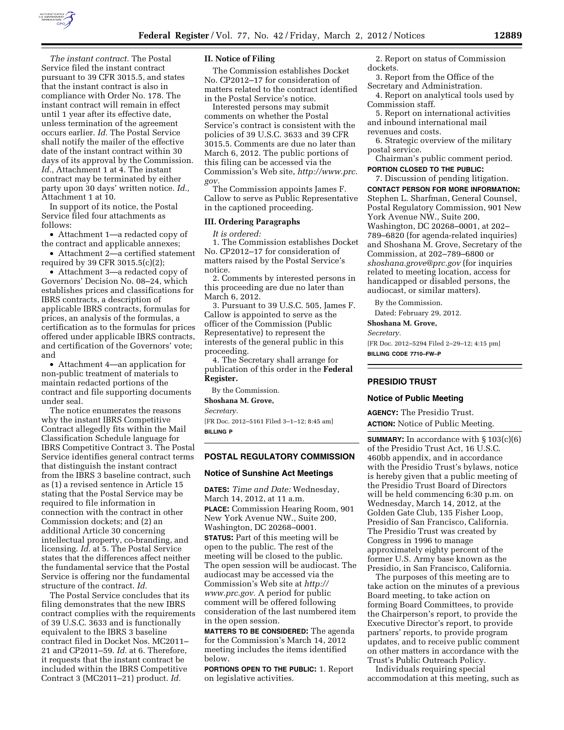

*The instant contract.* The Postal Service filed the instant contract pursuant to 39 CFR 3015.5, and states that the instant contract is also in compliance with Order No. 178. The instant contract will remain in effect until 1 year after its effective date, unless termination of the agreement occurs earlier. *Id.* The Postal Service shall notify the mailer of the effective date of the instant contract within 30 days of its approval by the Commission. *Id.,* Attachment 1 at 4. The instant contract may be terminated by either party upon 30 days' written notice. *Id.,*  Attachment 1 at 10.

In support of its notice, the Postal Service filed four attachments as follows:

• Attachment 1—a redacted copy of the contract and applicable annexes;

• Attachment 2—a certified statement required by 39 CFR 3015.5(c)(2);

• Attachment 3—a redacted copy of Governors' Decision No. 08–24, which establishes prices and classifications for IBRS contracts, a description of applicable IBRS contracts, formulas for prices, an analysis of the formulas, a certification as to the formulas for prices offered under applicable IBRS contracts, and certification of the Governors' vote; and

• Attachment 4—an application for non-public treatment of materials to maintain redacted portions of the contract and file supporting documents under seal.

The notice enumerates the reasons why the instant IBRS Competitive Contract allegedly fits within the Mail Classification Schedule language for IBRS Competitive Contract 3. The Postal Service identifies general contract terms that distinguish the instant contract from the IBRS 3 baseline contract, such as (1) a revised sentence in Article 15 stating that the Postal Service may be required to file information in connection with the contract in other Commission dockets; and (2) an additional Article 30 concerning intellectual property, co-branding, and licensing. *Id.* at 5. The Postal Service states that the differences affect neither the fundamental service that the Postal Service is offering nor the fundamental structure of the contract. *Id.* 

The Postal Service concludes that its filing demonstrates that the new IBRS contract complies with the requirements of 39 U.S.C. 3633 and is functionally equivalent to the IBRS 3 baseline contract filed in Docket Nos. MC2011– 21 and CP2011–59. *Id.* at 6. Therefore, it requests that the instant contract be included within the IBRS Competitive Contract 3 (MC2011–21) product. *Id.* 

### **II. Notice of Filing**

The Commission establishes Docket No. CP2012–17 for consideration of matters related to the contract identified in the Postal Service's notice.

Interested persons may submit comments on whether the Postal Service's contract is consistent with the policies of 39 U.S.C. 3633 and 39 CFR 3015.5. Comments are due no later than March 6, 2012. The public portions of this filing can be accessed via the Commission's Web site, *[http://www.prc.](http://www.prc.gov) [gov.](http://www.prc.gov)* 

The Commission appoints James F. Callow to serve as Public Representative in the captioned proceeding.

#### **III. Ordering Paragraphs**

*It is ordered:* 

1. The Commission establishes Docket No. CP2012–17 for consideration of matters raised by the Postal Service's notice.

2. Comments by interested persons in this proceeding are due no later than March 6, 2012.

3. Pursuant to 39 U.S.C. 505, James F. Callow is appointed to serve as the officer of the Commission (Public Representative) to represent the interests of the general public in this proceeding.

4. The Secretary shall arrange for publication of this order in the **Federal Register.** 

By the Commission.

**Shoshana M. Grove,**  *Secretary.* 

[FR Doc. 2012–5161 Filed 3–1–12; 8:45 am] **BILLING P** 

### **POSTAL REGULATORY COMMISSION**

#### **Notice of Sunshine Act Meetings**

**DATES:** *Time and Date:* Wednesday, March 14, 2012, at 11 a.m. **PLACE:** Commission Hearing Room, 901 New York Avenue NW., Suite 200, Washington, DC 20268–0001.

**STATUS:** Part of this meeting will be open to the public. The rest of the meeting will be closed to the public. The open session will be audiocast. The audiocast may be accessed via the Commission's Web site at *[http://](http://www.prc.gov)  [www.prc.gov.](http://www.prc.gov)* A period for public comment will be offered following consideration of the last numbered item in the open session.

**MATTERS TO BE CONSIDERED:** The agenda for the Commission's March 14, 2012 meeting includes the items identified below.

**PORTIONS OPEN TO THE PUBLIC:** 1. Report on legislative activities.

2. Report on status of Commission dockets.

3. Report from the Office of the Secretary and Administration.

4. Report on analytical tools used by Commission staff.

5. Report on international activities and inbound international mail revenues and costs.

6. Strategic overview of the military postal service.

Chairman's public comment period. **PORTION CLOSED TO THE PUBLIC:** 

7. Discussion of pending litigation. **CONTACT PERSON FOR MORE INFORMATION:**  Stephen L. Sharfman, General Counsel, Postal Regulatory Commission, 901 New York Avenue NW., Suite 200, Washington, DC 20268–0001, at 202– 789–6820 (for agenda-related inquiries) and Shoshana M. Grove, Secretary of the Commission, at 202–789–6800 or *[shoshana.grove@prc.gov](mailto:shoshana.grove@prc.gov)* (for inquiries related to meeting location, access for handicapped or disabled persons, the

By the Commission. Dated: February 29, 2012.

audiocast, or similar matters).

**Shoshana M. Grove,** 

*Secretary.* 

[FR Doc. 2012–5294 Filed 2–29–12; 4:15 pm] **BILLING CODE 7710–FW–P** 

#### **PRESIDIO TRUST**

#### **Notice of Public Meeting**

**AGENCY:** The Presidio Trust. **ACTION:** Notice of Public Meeting.

**SUMMARY:** In accordance with § 103(c)(6) of the Presidio Trust Act, 16 U.S.C. 460bb appendix, and in accordance with the Presidio Trust's bylaws, notice is hereby given that a public meeting of the Presidio Trust Board of Directors will be held commencing 6:30 p.m. on Wednesday, March 14, 2012, at the Golden Gate Club, 135 Fisher Loop, Presidio of San Francisco, California. The Presidio Trust was created by Congress in 1996 to manage approximately eighty percent of the former U.S. Army base known as the Presidio, in San Francisco, California.

The purposes of this meeting are to take action on the minutes of a previous Board meeting, to take action on forming Board Committees, to provide the Chairperson's report, to provide the Executive Director's report, to provide partners' reports, to provide program updates, and to receive public comment on other matters in accordance with the Trust's Public Outreach Policy.

Individuals requiring special accommodation at this meeting, such as